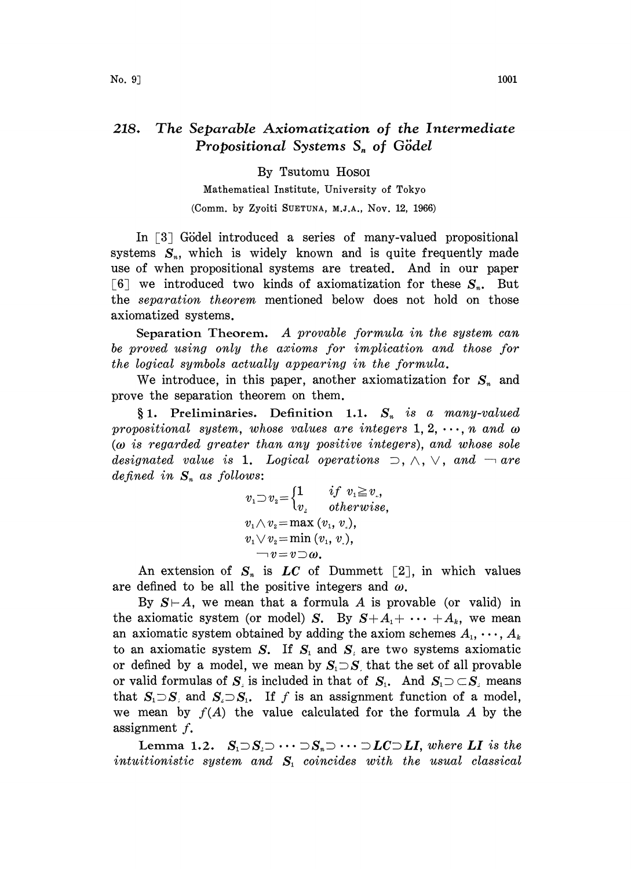## 218. The Separable Axiomatization of the Intermediate Propositional Systems  $S_n$  of Gödel

## By Tsutomu Hosoi

Mathematical Institute, University of Tokyo (Comm. by Zyoiti SUETUNA, M.J.A., Nov. 12, 1966)

In  $\lceil 3 \rceil$  Gödel introduced a series of many-valued propositional systems  $S_n$ , which is widely known and is quite frequently made use of when propositional systems are treated. And in our paper [6] we introduced two kinds of axiomatization for these  $S_n$ . But the separation theorem mentioned below does not hold on those axiomatized systems.

Separation Theorem. A provable formula in the system can be proved using only the axioms for implication and those for the logical symbols actually appearing in the formula.

We introduce, in this paper, another axiomatization for  $S_n$  and prove the separation theorem on them.

 $§ 1.$  Preliminaries. Definition 1.1.  $S_n$  is a many-valued propositional system, whose values are integers  $1, 2, \dots, n$  and  $\omega$  $(\omega)$  is regarded greater than any positive integers), and whose sole designated value is 1. Logical operations  $\supset$ ,  $\wedge$ ,  $\vee$ , and  $\neg$  are defined in  $S_n$  as follows:

$$
v_1 \supset v_2 = \begin{cases} 1 & if \; v_1 \geq v_., \\ v_2 & otherwise, \end{cases} \\ v_1 \wedge v_2 = \max(v_1, v_.), \\ v_1 \vee v_2 = \min(v_1, v_.), \\ \neg v = v \supset \omega.
$$

An extension of  $S_n$  is LC of Dummett [2], in which values are defined to be all the positive integers and  $\omega$ .

By  $S \vdash A$ , we mean that a formula A is provable (or valid) in the axiomatic system (or model) S. By  $S+A_1+\cdots+A_k$ , we mean an axiomatic system obtained by adding the axiom schemes  $A_1, \dots, A_k$ to an axiomatic system S. If  $S_1$  and  $S_2$  are two systems axiomatic to an axiomatic system S. If  $S_1$  and  $S_2$  are two systems axiomatic<br>or defined by a model, we mean by  $S_1 \supset S_2$  that the set of all provable<br>or which formulate  $S_1$  is in high in that the set of all  $S_1 \supset S_2$  we h or defined by a model, we mean by  $S_1 \supset S$  that the set of all provable<br>or valid formulas of  $S_i$  is included in that of  $S_i$ . And  $S_i \supset \subset S_i$  means or valid formulas of  $S_i$  is included in that of  $S_i$ . And  $S_i \supset \subset S_i$  means that  $S_i \supset S_i$  and  $S_i \supset S_i$ . If f is an assignment function of a model, we mean by  $f(A)$  the value calculated for the formula A by the assignment f.

Lemma 1.2.  $S_i \supset S_i \supset \cdots \supset S_n \supset \cdots \supset LC \supset LI$ , where LI is the intuitionistic system and  $S<sub>i</sub>$  coincides with the usual classical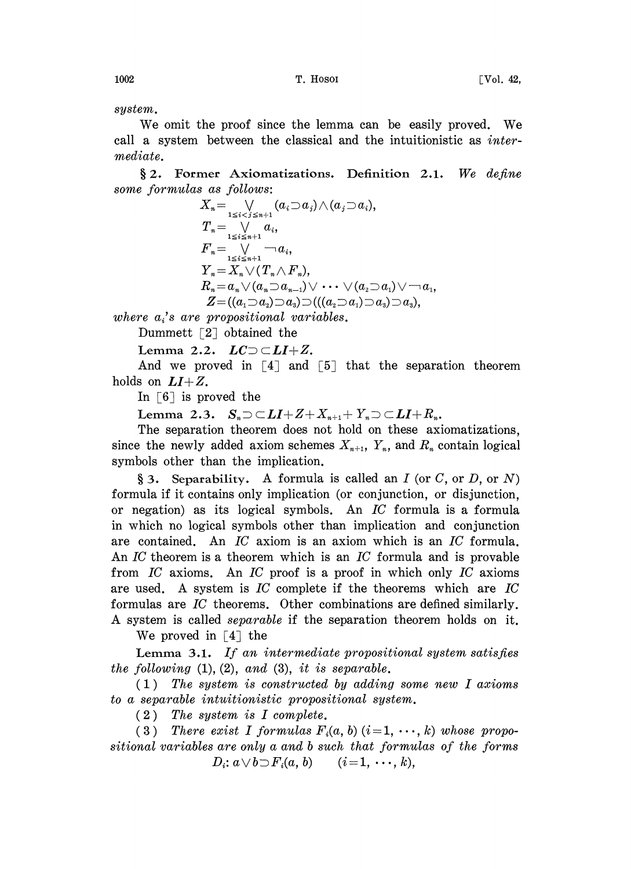system.

We omit the proof since the lemma can be easily proved. We call a system between the classical and the intuitionistic as intermediate.

 $§ 2.$  Former Axiomatizations. Definition 2.1. We define some formulas as follows:

$$
X_n = \bigvee_{1 \leq i < j \leq n+1} (a_i \supset a_j) \wedge (a_j \supset a_i),
$$
\n
$$
T_n = \bigvee_{1 \leq i \leq n+1} a_i,
$$
\n
$$
F_n = \bigvee_{1 \leq i \leq n+1} \neg a_i,
$$
\n
$$
Y_n = X_n \vee (T_n \wedge F_n),
$$
\n
$$
R_n = a_n \vee (a_n \supset a_{n-1}) \vee \cdots \vee (a_2 \supset a_1) \vee \neg a_1,
$$
\n
$$
Z = ((a_1 \supset a_2) \supset a_3) \supset ((a_2 \supset a_1) \supset a_3) \supset a_3),
$$

where  $a_i$ 's are propositional variables.

Dummett  $\lceil 2 \rceil$  obtained the

Lemma 2.2.  $LC \supset \subset LI+Z$ .

And we proved in  $[4]$  and  $[5]$  that the separation theorem holds on  $LI+Z$ .

In  $\lceil 6 \rceil$  is proved the

Lemma 2.3.  $S_n \supset \subset LI+Z+X_{n+1}+Y_n \supset \subset LI+R_n$ .

The separation theorem does not hold on these axiomatizations, since the newly added axiom schemes  $X_{n+1}$ ,  $Y_n$ , and  $R_n$  contain logical symbols other than the implication.

§ 3. Separability. A formula is called an  $I$  (or  $C$ , or  $D$ , or  $N$ ) formula if it contains only implication (or conjunction, or disjunction, or negation) as its logical symbols. An IC formula is a formula in which no logical symbols other than implication and conjunction are contained. An  $IC$  axiom is an axiom which is an  $IC$  formula. An IC theorem is a theorem which is an IC formula and is provable from  $IC$  axioms. An  $IC$  proof is a proof in which only  $IC$  axioms are used. A system is  $IC$  complete if the theorems which are  $IC$ formulas are IC theorems. Other combinations are defined similarly. A system is called separable if the separation theorem holds on it.

We proved in  $\lceil 4 \rceil$  the

Lemma 3.1. If an intermediate propositional system satisfies the following  $(1)$ ,  $(2)$ , and  $(3)$ , it is separable.

(1) The system is constructed by adding some new I axioms to a separable intuitionistic propositional system.

(2) The system is I complete.

(3) There exist I formulas  $F_i(a, b)$  (i=1,  $\cdots$ , k) whose propositional variables are only a and <sup>b</sup> such that formulas of the forms  $D_i: \mathbb{a} \vee \mathbb{b} \supset F_i(\mathbb{a}, \mathbb{b}) \qquad (i = 1, \cdots, k),$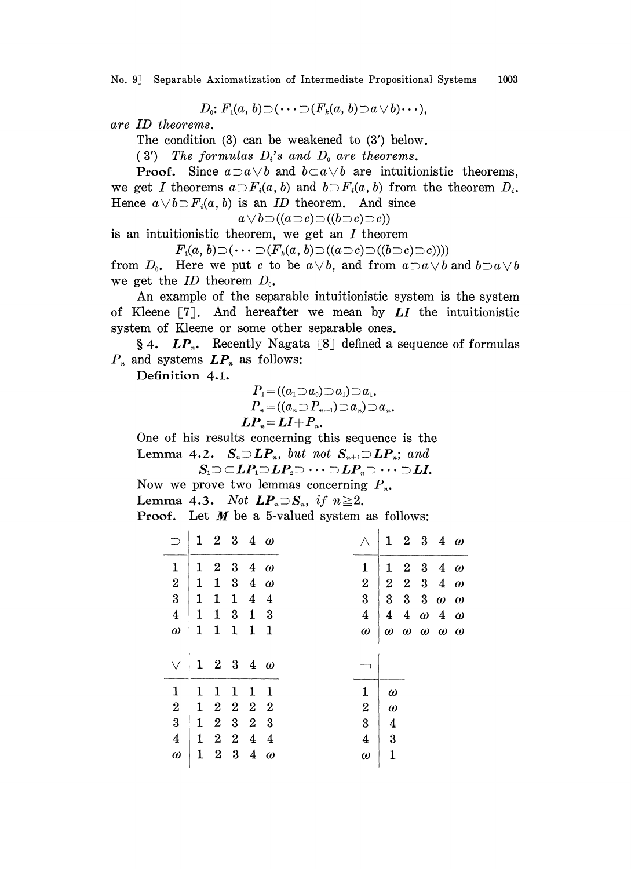No. 9] Separable Axiomatization of Intermediate Propositional Systems 1003

$$
D_0: F_1(a, b) \supset (\cdots \supset (F_k(a, b) \supset a \vee b) \cdots),
$$

are ID theorems.

The condition (3) can be weakened to (3') below.

(3') The formulas  $D_i$ 's and  $D_0$  are theorems.

**Proof.** Since  $a \supset a \vee b$  and  $b \subset a \vee b$  are intuitionistic theorems, we get I theorems  $a \supset F_i(a, b)$  and  $b \supset F_i(a, b)$  from the theorem  $D_i$ . Hence  $a \vee b \supset F_i(a, b)$  is an ID theorem. And since

 $a \vee b \supset ((a \supset c) \supset ((b \supset c) \supset c))$ 

is an intuitionistic theorem, we get an  $I$  theorem

 $F_1(a, b) \supset (\cdots \supset (F_k(a, b) \supset ((a \supset c) \supset ((b \supset c) \supset c))))$ 

from  $D_0$ . Here we put c to be  $a \vee b$ , and from  $a \supset a \vee b$  and  $b \supset a \vee b$ we get the ID theorem  $D_{0}$ .

An example of the separable intuitionistic system is the system of Kleene  $\lceil 7 \rceil$ . And hereafter we mean by  $LI$  the intuitionistic system of Kleene or some other separable ones.

§ 4.  $LP_n$ . Recently Nagata [8] defined a sequence of formulas  $P_n$  and systems  $LP_n$  as follows:

Definition 4.1.

$$
P_1 = ((a_1 \supset a_0) \supset a_1) \supset a_1,
$$
  
\n
$$
P_n = ((a_n \supset P_{n-1}) \supset a_n) \supset a_n.
$$
  
\n
$$
LP_n = LI + P_n.
$$

One of his results concerning this sequence is the Lemma 4.2.  $S_n \supset L P_n$ , but not  $S_{n+1} \supset L P_n$ ; and

 $S_1 \supset \subset LP_1 \supset LP_2 \supset \cdots \supset LP_n \supset \cdots \supset LI.$ Now we prove two lemmas concerning  $P_n$ .

Lemma 4.3. Not  $LP_n \supset S_n$ , if  $n \geq 2$ .

**Proof.** Let  $M$  be a 5-valued system as follows:

|                  |              | $1\quad 2\quad 3\quad 4\quad \omega$ |                                           |                         |                         | Λ                | $\mathbf{1}$     |                  |                         | $2\quad 3\quad 4\quad \omega$                |          |
|------------------|--------------|--------------------------------------|-------------------------------------------|-------------------------|-------------------------|------------------|------------------|------------------|-------------------------|----------------------------------------------|----------|
| 1                | 1            | $\boldsymbol{2}$                     | $\boldsymbol{3}$                          |                         | $4\omega$               | 1                | $\mathbf 1$      | $\boldsymbol{2}$ | $\overline{\mathbf{3}}$ | $\overline{4}$                               | $\omega$ |
| $\overline{2}$   | $\mathbf{1}$ | $\mathbf 1$                          | $\boldsymbol{3}$                          | $\overline{4}$          | $\omega$                | 2                | $\boldsymbol{2}$ |                  | $2\quad 3$              | $\overline{4}$                               | $\omega$ |
| 3                | $\mathbf 1$  | $\mathbf{1}$                         | $\mathbf{1}$                              | $\overline{4}$          | $\overline{\mathbf{4}}$ | 3                | 3                | $\bf{3}$         | $\overline{\mathbf{3}}$ | $\omega$                                     | $\omega$ |
| $\overline{4}$   | $\mathbf 1$  | $\mathbf{1}$                         | $\boldsymbol{3}$                          | $\mathbf{1}$            | 3                       | 4                | $\boldsymbol{4}$ |                  |                         | $4\ \omega\ \ 4\ \ \omega$                   |          |
| $\omega$         | $\mathbf 1$  | $\mathbf{1}$                         | $1\quad1\quad1$                           |                         |                         | $\omega$         |                  |                  |                         | $\omega$ $\omega$ $\omega$ $\omega$ $\omega$ |          |
|                  |              |                                      |                                           |                         |                         |                  |                  |                  |                         |                                              |          |
| $\vee$           |              | $1\quad 2\quad 3\quad 4\quad \omega$ |                                           |                         |                         |                  |                  |                  |                         |                                              |          |
| $\mathbf{1}$     | 1            | 1                                    | 1                                         | 1                       | 1                       | $\mathbf{1}$     | $\omega$         |                  |                         |                                              |          |
| $\overline{2}$   | $\mathbf 1$  | $\boldsymbol{2}$                     |                                           | $2\quad 2$              |                         | $\boldsymbol{2}$ | $\omega$         |                  |                         |                                              |          |
| $\overline{3}$   | 1            | $\boldsymbol{2}$                     | $\overline{\mathbf{2}}$<br>$\overline{3}$ | $\overline{\mathbf{2}}$ | - 3                     | 3                | 4                |                  |                         |                                              |          |
| $\boldsymbol{4}$ | $\mathbf 1$  | $\boldsymbol{2}$                     | $\mathbf{2}$<br>$\overline{\mathbf{3}}$   | $\overline{4}$          | $\overline{4}$          | $\boldsymbol{4}$ | 3                |                  |                         |                                              |          |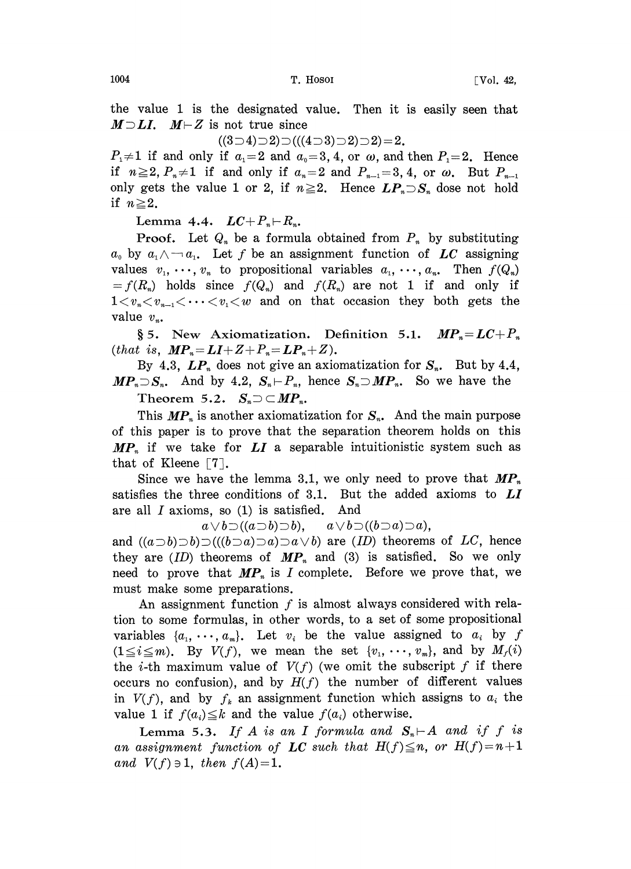the value 1 is the designated value. Then it is easily seen that  $M \supset LI$ .  $M \vdash Z$  is not true since

 $((3 \supset 4) \supset 2) \supset ((4 \supset 3) \supset 2) \supset 2) = 2.$ 

 $P_1\neq 1$  if and only if  $a_1=2$  and  $a_0=3, 4$ , or  $\omega$ , and then  $P_1=2$ . Hence if  $n \ge 2$ ,  $P_n \ne 1$  if and only if  $a_n=2$  and  $P_{n-1}=3, 4$ , or  $\omega$ . But  $P_{n-1}$ only gets the value 1 or 2, if  $n \ge 2$ . Hence  $LP_n \supset S_n$  dose not hold if  $n \geq 2$ .

Lemma 4.4.  $LC+P_n\vdash R_n$ .

 $\vdash R_n.$ ormu **Proof.** Let  $Q_n$  be a formula obtained from  $P_n$  by substituting  $a_0$  by  $a_1 \wedge \neg a_1$ . Let f be an assignment function of LC assigning values  $v_1, \dots, v_n$  to propositional variables  $a_1, \dots, a_n$ . Then  $f(Q_n)$  $=f(R_n)$  holds since  $f(Q_n)$  and  $f(R_n)$  are not 1 if and only if  $1 \lt v_n \lt v_{n-1} \lt \cdots \lt v_1 \lt w$  and on that occasion they both gets the value  $v_n$ .

§ 5. New Axiomatization. Definition 5.1.  $MP<sub>n</sub>=LC+P<sub>n</sub>$ (that is,  $\textbf{MP}_{n} = \textbf{LI} + \textbf{Z} + \textbf{P}_{n} = \textbf{LP}_{n} + \textbf{Z}$ ).

By 4.3,  $LP_n$  does not give an axiomatization for  $S_n$ . But by 4.4,  $MP<sub>n</sub> \supset S<sub>n</sub>$ . And by 4.2,  $S<sub>n</sub> \vdash P<sub>n</sub>$ , hence  $S<sub>n</sub> \supset MP<sub>n</sub>$ . So we have the Theorem 5.2.  $S_n \supset \subset MP_n$ .

This  $MP_n$  is another axiomatization for  $S_n$ . And the main purpose of this paper is to prove that the separation theorem holds on this  $MP_n$  if we take for LI a separable intuitionistic system such as that of Kleene  $\lceil 7 \rceil$ .

Since we have the lemma 3.1, we only need to prove that  $MP_n$ satisfies the three conditions of 3.1. But the added axioms to  $LI$ are all  $I$  axioms, so  $(1)$  is satisfied. And

 $a \vee b \supset ((a \supset b) \supset b), \quad a \vee b \supset ((b \supset a) \supset a),$ 

and  $((a\Box b)\Box b)\Box((b\Box a)\Box a)\Box a\lor b)$  are  $(ID)$  theorems of LC, hence they are  $(ID)$  theorems of  $MP_n$  and (3) is satisfied. So we only need to prove that  $MP_n$  is I complete. Before we prove that, we must make some preparations.

An assignment function  $f$  is almost always considered with relation to some formulas, in other words, to a set of some propositional variables  $\{a_1, \dots, a_m\}$ . Let  $v_i$  be the value assigned to  $a_i$  by f  $(1 \le i \le m)$ . By  $V(f)$ , we mean the set  $\{v_1, \dots, v_m\}$ , and by  $M_f(i)$ the *i*-th maximum value of  $V(f)$  (we omit the subscript f if there occurs no confusion), and by  $H(f)$  the number of different values in  $V(f)$ , and by  $f_k$  an assignment function which assigns to  $a_i$  the value 1 if  $f(a_i) \leq k$  and the value  $f(a_i)$  otherwise.

Lemma 5.3. If A is an I formula and  $S_n \vdash A$  and if f is an assignment function of LC such that  $H(f) \leq n$ , or  $H(f) = n+1$ and  $V(f) \ni 1$ , then  $f(A) = 1$ .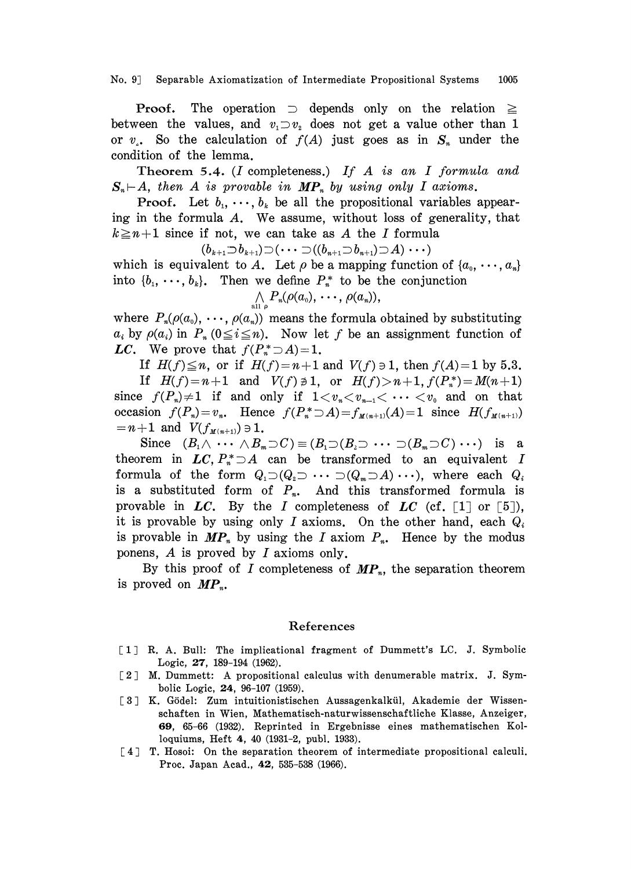No. 9 Separable Axiomatization of Intermediate Propositional Systems 1005

**Proof.** The operation  $\supset$  depends only on the relation  $\geq$ between the values, and  $v_1 \supset v_2$  does not get a value other than 1 or  $v<sub>x</sub>$ . So the calculation of  $f(A)$  just goes as in  $S_n$  under the condition of the lemma.

Theorem 5.4. (I completeness.) If  $A$  is an I formula and  $S_n \vdash A$ , then A is provable in  $MP_n$  by using only I axioms.

**Proof.** Let  $b_1, \dots, b_k$  be all the propositional variables appearing in the formula A. We assume, without loss of generality, that  $k \geq n+1$  since if not, we can take as A the I formula

 $(b_{k+1}\overline{\supset}b_{k+1})\overline{\supset}(\cdots\overline{\supset}((b_{n+1}\overline{\supset}b_{n+1})\overline{\supset}A)\cdots)$ which is equivalent to A. Let  $\rho$  be a mapping function of  $\{a_0, \dots, a_n\}$ into  $\{b_1, \dots, b_k\}$ . Then we define  $P_n^*$  to be the conjunction

$$
\bigwedge_{\text{all }\rho} P_n(\rho(a_0),\,\cdots,\,\rho(a_n)),
$$

where  $P_n(\rho(a_0), \dots, \rho(a_n))$  means the formula obtained by substituting  $a_i$  by  $\rho(a_i)$  in  $P_n$  ( $0 \le i \le n$ ). Now let f be an assignment function of LC. We prove that  $f(P^*_n \supseteq A) = 1$ .

If  $H(f) \leq n$ , or if  $H(f) = n+1$  and  $V(f) \ni 1$ , then  $f(A) = 1$  by 5.3.

If  $H(f)=n+1$  and  $V(f)\neq 1$ , or  $H(f)>n+1$ ,  $f(P_{n}^{*})=M(n+1)$ since  $f(P_n)\neq 1$  if and only if  $1\lt v_n\lt v_{n-1}\lt \cdots \lt v_0$  and on that occasion  $f(P_n)=v_n$ . Hence  $f(P_n^*\supset A)=f_{M(n+1)}(A)=1$  since  $H(f_{M(n+1)})$  $n = n + 1$  and  $V(f_{M(n+1)}) \ni 1$ .

Since  $(B_1 \wedge \cdots \wedge B_m \supset C) \equiv (B_1 \supset (B_2 \supset \cdots \supset (B_m \supset C) \cdots)$  is a theorem in LC,  $P_*^* \supseteq A$  can be transformed to an equivalent I formula of the form  $Q_1 \supset (Q_2 \supset \cdots \supset (Q_m \supset A) \cdots)$ , where each  $Q_i$ is a substituted form of  $P_n$ . And this transformed formula is provable in  $LC$ . By the I completeness of  $LC$  (cf. [1] or [5]), it is provable by using only I axioms. On the other hand, each  $Q_i$ is provable in  $MP_n$  by using the I axiom  $P_n$ . Hence by the modus ponens,  $A$  is proved by  $I$  axioms only.

By this proof of I completeness of  $MP_n$ , the separation theorem is proved on  $MP_n$ .

## References

- [1] R. A. Bull: The implicational fragment of Dummett's LC. J. Symbolic Logic, 27, 189-194 (1962).
- [2] M. Dummett: A propositional calculus with denumerable matrix. J. Symbolic Logic, 24, 96-107 (1959).
- [3] K. Gödel: Zum intuitionistischen Aussagenkalkül, Akademie der Wissenschaften in Wien, Mathematisch-naturwissenschaftliche Klasse, Anzeiger, 69, 65-66 (1932). Reprinted in Ergebnisse eines mathematischen Kolloquiums, Heft 4, 40 (1931-2, publ. 1933).
- [4] T. Hosoi: On the separation theorem of intermediate propositional calculi. Proc. Japan Acad., 42, 535-538 (1966).